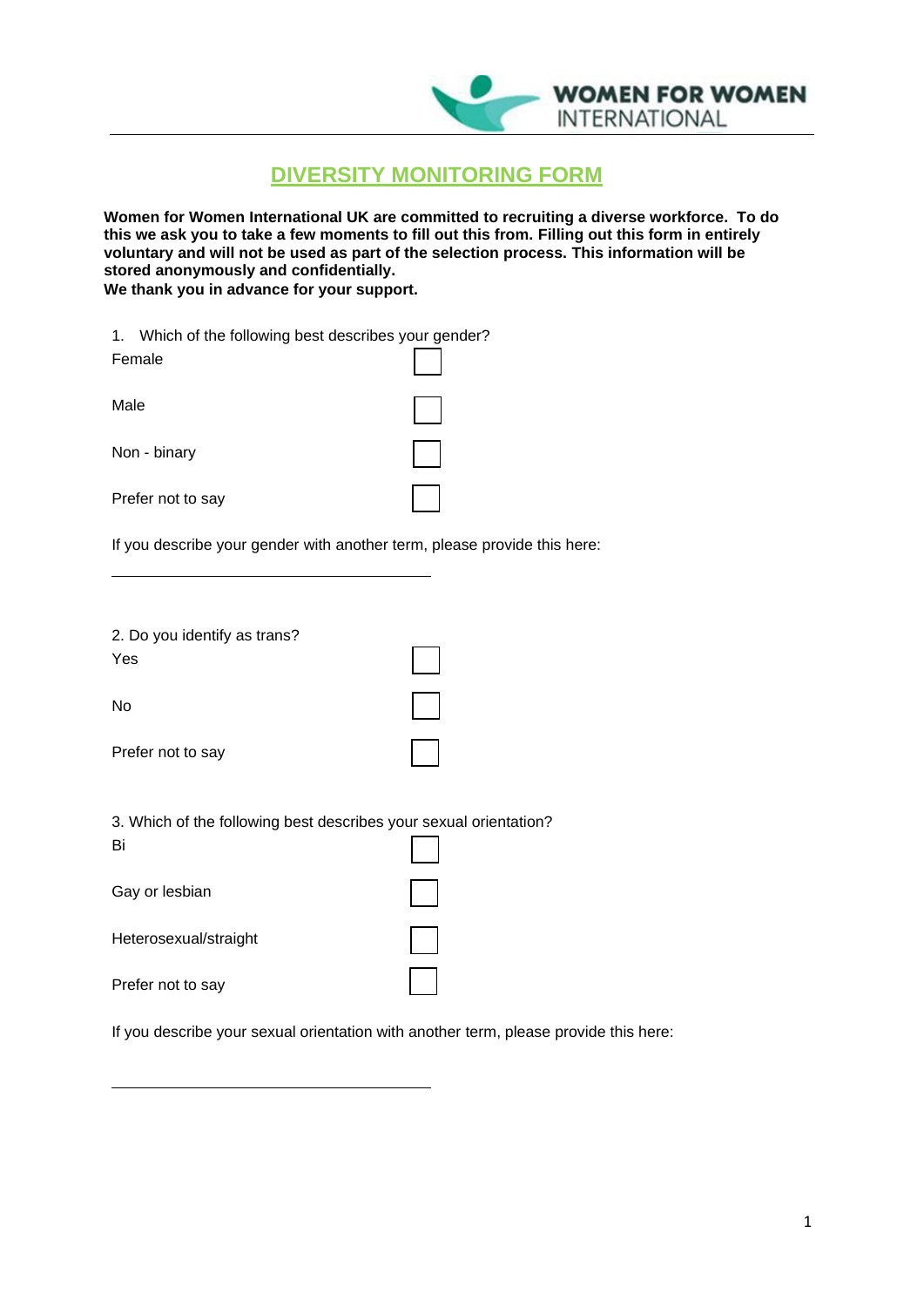

**WOMEN FOR WOMEN INTERNATIONAL** 

## **DIVERSITY MONITORING FORM**

**Women for Women International UK are committed to recruiting a diverse workforce. To do this we ask you to take a few moments to fill out this from. Filling out this form in entirely voluntary and will not be used as part of the selection process. This information will be stored anonymously and confidentially.**

**We thank you in advance for your support.**

1. Which of the following best describes your gender? Female Male Non - binary Prefer not to say

If you describe your gender with another term, please provide this here:

| 2. Do you identify as trans?<br>Yes                                     |  |
|-------------------------------------------------------------------------|--|
| No                                                                      |  |
| Prefer not to say                                                       |  |
| 3. Which of the following best describes your sexual orientation?<br>Bi |  |
| Gay or lesbian                                                          |  |
| Heterosexual/straight                                                   |  |
| Prefer not to say                                                       |  |

If you describe your sexual orientation with another term, please provide this here: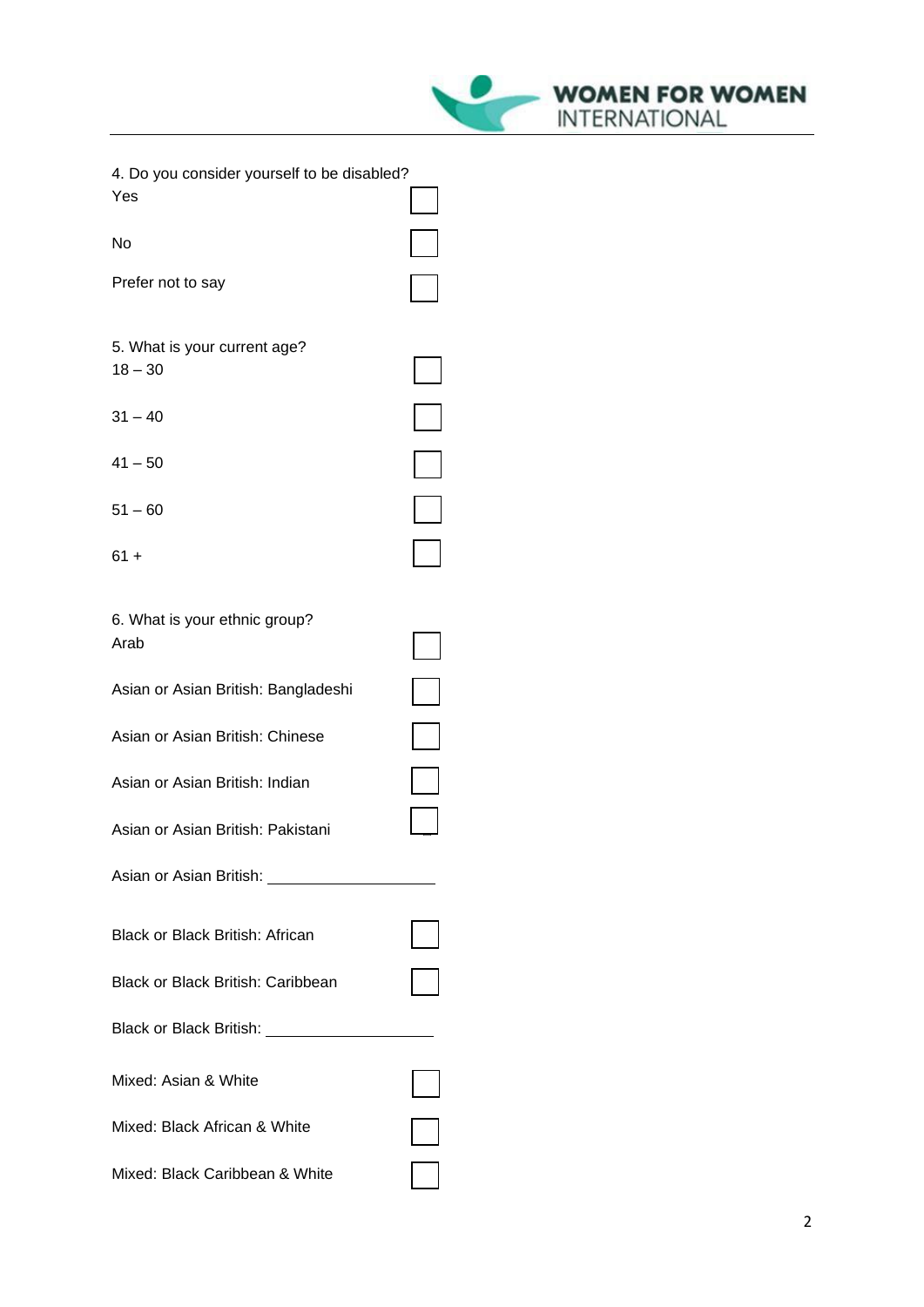- WOMEN FOR WOMEN **INTERNATIONAL** 

| 4. Do you consider yourself to be disabled?                                                                                                                                                                                          |  |
|--------------------------------------------------------------------------------------------------------------------------------------------------------------------------------------------------------------------------------------|--|
| Yes                                                                                                                                                                                                                                  |  |
| No                                                                                                                                                                                                                                   |  |
| Prefer not to say                                                                                                                                                                                                                    |  |
|                                                                                                                                                                                                                                      |  |
| 5. What is your current age?<br>$18 - 30$                                                                                                                                                                                            |  |
| $31 - 40$                                                                                                                                                                                                                            |  |
| $41 - 50$                                                                                                                                                                                                                            |  |
| $51 - 60$                                                                                                                                                                                                                            |  |
| 61 +                                                                                                                                                                                                                                 |  |
|                                                                                                                                                                                                                                      |  |
| 6. What is your ethnic group?<br>Arab                                                                                                                                                                                                |  |
| Asian or Asian British: Bangladeshi                                                                                                                                                                                                  |  |
| Asian or Asian British: Chinese                                                                                                                                                                                                      |  |
| Asian or Asian British: Indian                                                                                                                                                                                                       |  |
| Asian or Asian British: Pakistani                                                                                                                                                                                                    |  |
| Asian or Asian British: <b>contains a state of the state of the state of the state of the state of the state of the state of the state of the state of the state of the state of the state of the state of the state of the stat</b> |  |
| Black or Black British: African                                                                                                                                                                                                      |  |
| Black or Black British: Caribbean                                                                                                                                                                                                    |  |
| Black or Black British: ______________________                                                                                                                                                                                       |  |
| Mixed: Asian & White                                                                                                                                                                                                                 |  |
| Mixed: Black African & White                                                                                                                                                                                                         |  |
| Mixed: Black Caribbean & White                                                                                                                                                                                                       |  |